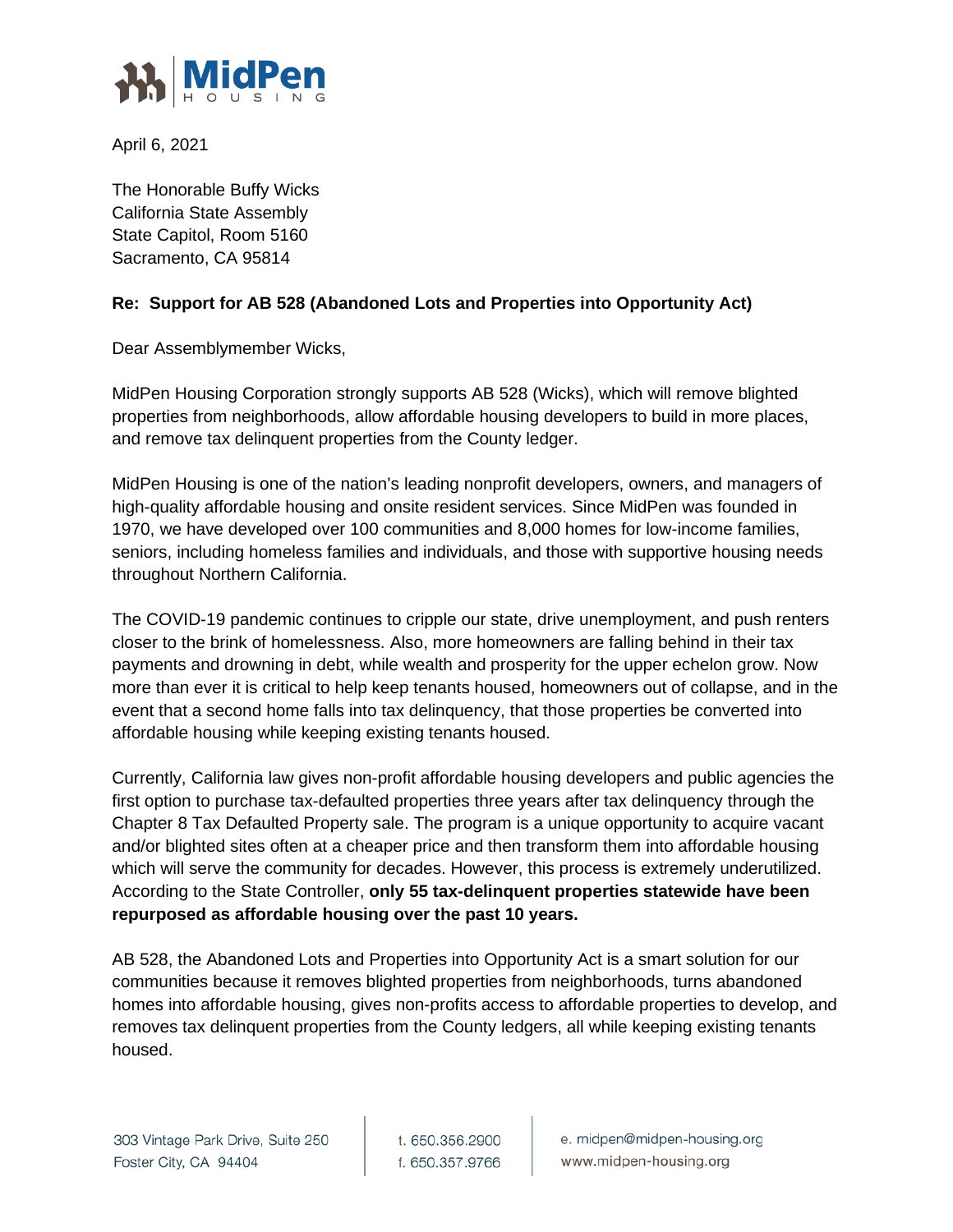

April 6, 2021

The Honorable Buffy Wicks California State Assembly State Capitol, Room 5160 Sacramento, CA 95814

## **Re: Support for AB 528 (Abandoned Lots and Properties into Opportunity Act)**

Dear Assemblymember Wicks,

MidPen Housing Corporation strongly supports AB 528 (Wicks), which will remove blighted properties from neighborhoods, allow affordable housing developers to build in more places, and remove tax delinquent properties from the County ledger.

MidPen Housing is one of the nation's leading nonprofit developers, owners, and managers of high-quality affordable housing and onsite resident services. Since MidPen was founded in 1970, we have developed over 100 communities and 8,000 homes for low-income families, seniors, including homeless families and individuals, and those with supportive housing needs throughout Northern California.

The COVID-19 pandemic continues to cripple our state, drive unemployment, and push renters closer to the brink of homelessness. Also, more homeowners are falling behind in their tax payments and drowning in debt, while wealth and prosperity for the upper echelon grow. Now more than ever it is critical to help keep tenants housed, homeowners out of collapse, and in the event that a second home falls into tax delinquency, that those properties be converted into affordable housing while keeping existing tenants housed.

Currently, California law gives non-profit affordable housing developers and public agencies the first option to purchase tax-defaulted properties three years after tax delinquency through the Chapter 8 Tax Defaulted Property sale. The program is a unique opportunity to acquire vacant and/or blighted sites often at a cheaper price and then transform them into affordable housing which will serve the community for decades. However, this process is extremely underutilized. According to the State Controller, **only 55 tax-delinquent properties statewide have been repurposed as affordable housing over the past 10 years.** 

AB 528, the Abandoned Lots and Properties into Opportunity Act is a smart solution for our communities because it removes blighted properties from neighborhoods, turns abandoned homes into affordable housing, gives non-profits access to affordable properties to develop, and removes tax delinquent properties from the County ledgers, all while keeping existing tenants housed.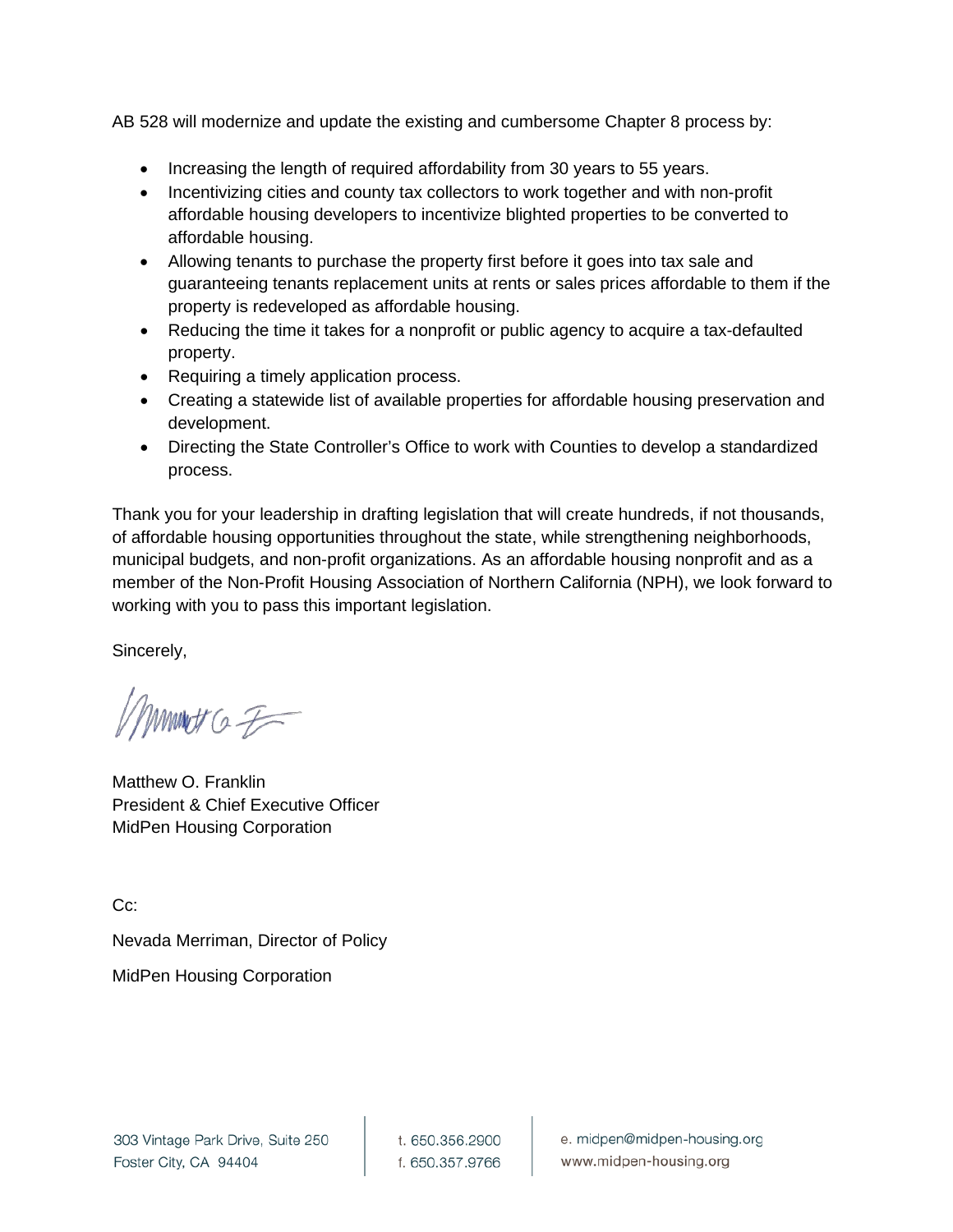AB 528 will modernize and update the existing and cumbersome Chapter 8 process by:

- Increasing the length of required affordability from 30 years to 55 years.
- Incentivizing cities and county tax collectors to work together and with non-profit affordable housing developers to incentivize blighted properties to be converted to affordable housing.
- Allowing tenants to purchase the property first before it goes into tax sale and guaranteeing tenants replacement units at rents or sales prices affordable to them if the property is redeveloped as affordable housing.
- Reducing the time it takes for a nonprofit or public agency to acquire a tax-defaulted property.
- Requiring a timely application process.
- Creating a statewide list of available properties for affordable housing preservation and development.
- Directing the State Controller's Office to work with Counties to develop a standardized process.

Thank you for your leadership in drafting legislation that will create hundreds, if not thousands, of affordable housing opportunities throughout the state, while strengthening neighborhoods, municipal budgets, and non-profit organizations. As an affordable housing nonprofit and as a member of the Non-Profit Housing Association of Northern California (NPH), we look forward to working with you to pass this important legislation.

Sincerely,

mmet G F

Matthew O. Franklin President & Chief Executive Officer MidPen Housing Corporation

Cc:

Nevada Merriman, Director of Policy MidPen Housing Corporation